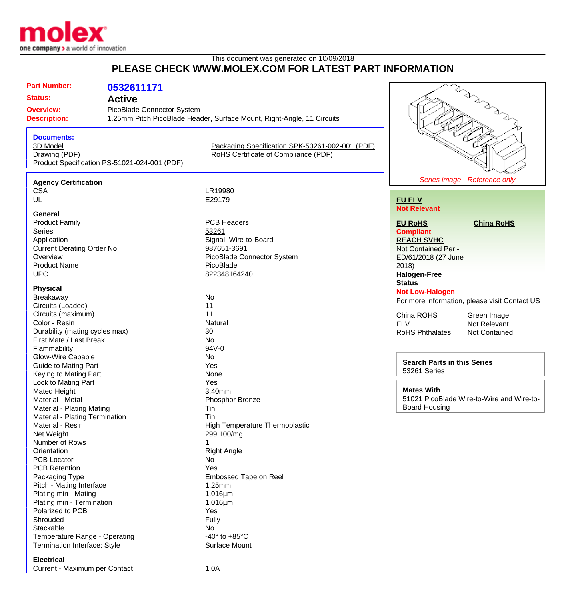

## This document was generated on 10/09/2018 **PLEASE CHECK WWW.MOLEX.COM FOR LATEST PART INFORMATION**

| PLEASE CHECK WWW.MOLEX.COM FOR LATEST PART INFORMATION                                                                                                                                                                                                                                                                                  |                                                           |                                                                                                                                                                                                                  |                                                                                                                                      |                                                                                               |
|-----------------------------------------------------------------------------------------------------------------------------------------------------------------------------------------------------------------------------------------------------------------------------------------------------------------------------------------|-----------------------------------------------------------|------------------------------------------------------------------------------------------------------------------------------------------------------------------------------------------------------------------|--------------------------------------------------------------------------------------------------------------------------------------|-----------------------------------------------------------------------------------------------|
| <b>Part Number:</b><br><b>Status:</b><br><b>Overview:</b><br><b>Description:</b>                                                                                                                                                                                                                                                        | 0532611171<br><b>Active</b><br>PicoBlade Connector System | 1.25mm Pitch PicoBlade Header, Surface Mount, Right-Angle, 11 Circuits                                                                                                                                           |                                                                                                                                      |                                                                                               |
| <b>Documents:</b><br>3D Model<br>Drawing (PDF)<br>Product Specification PS-51021-024-001 (PDF)                                                                                                                                                                                                                                          |                                                           | Packaging Specification SPK-53261-002-001 (PDF)<br>RoHS Certificate of Compliance (PDF)                                                                                                                          |                                                                                                                                      |                                                                                               |
| <b>Agency Certification</b><br><b>CSA</b><br>UL                                                                                                                                                                                                                                                                                         |                                                           | LR19980<br>E29179                                                                                                                                                                                                | <b>EU ELV</b><br><b>Not Relevant</b>                                                                                                 | Series image - Reference only                                                                 |
| General<br><b>Product Family</b><br><b>Series</b><br>Application<br><b>Current Derating Order No</b><br>Overview<br><b>Product Name</b><br><b>UPC</b>                                                                                                                                                                                   |                                                           | <b>PCB Headers</b><br>53261<br>Signal, Wire-to-Board<br>987651-3691<br><b>PicoBlade Connector System</b><br>PicoBlade<br>822348164240                                                                            | <b>EU RoHS</b><br><b>Compliant</b><br><b>REACH SVHC</b><br>Not Contained Per -<br>ED/61/2018 (27 June<br>2018<br><b>Halogen-Free</b> | <b>China RoHS</b>                                                                             |
| <b>Physical</b><br>Breakaway<br>Circuits (Loaded)<br>Circuits (maximum)<br>Color - Resin<br>Durability (mating cycles max)<br>First Mate / Last Break                                                                                                                                                                                   |                                                           | No<br>11<br>11<br>Natural<br>30<br>No                                                                                                                                                                            | <b>Status</b><br><b>Not Low-Halogen</b><br>China ROHS<br><b>ELV</b><br><b>RoHS Phthalates</b>                                        | For more information, please visit Contact US<br>Green Image<br>Not Relevant<br>Not Contained |
| Flammability<br>Glow-Wire Capable<br><b>Guide to Mating Part</b><br>Keying to Mating Part<br>Lock to Mating Part                                                                                                                                                                                                                        |                                                           | 94V-0<br>No<br>Yes<br>None<br>Yes                                                                                                                                                                                | <b>Search Parts in this Series</b><br>53261 Series                                                                                   |                                                                                               |
| <b>Mated Height</b><br>Material - Metal<br>Material - Plating Mating                                                                                                                                                                                                                                                                    |                                                           | 3.40mm<br>Phosphor Bronze<br>Tin<br>Tin                                                                                                                                                                          | <b>Mates With</b><br><b>Board Housing</b>                                                                                            | 51021 PicoBlade Wire-to-Wire and Wire-to-                                                     |
| <b>Material - Plating Termination</b><br>Material - Resin<br>Net Weight<br>Number of Rows<br>Orientation<br><b>PCB Locator</b><br><b>PCB Retention</b><br>Packaging Type<br>Pitch - Mating Interface<br>Plating min - Mating<br>Plating min - Termination<br>Polarized to PCB<br>Shrouded<br>Stackable<br>Temperature Range - Operating |                                                           | High Temperature Thermoplastic<br>299.100/mg<br><b>Right Angle</b><br>No<br>Yes<br>Embossed Tape on Reel<br>1.25mm<br>$1.016 \mu m$<br>$1.016 \mu m$<br>Yes<br>Fully<br>No<br>-40 $^{\circ}$ to +85 $^{\circ}$ C |                                                                                                                                      |                                                                                               |

**Electrical**

Current - Maximum per Contact 1.0A

Termination Interface: Style

Temperature Range - Operating<br>
Termination Interface: Style<br>
Surface Mount